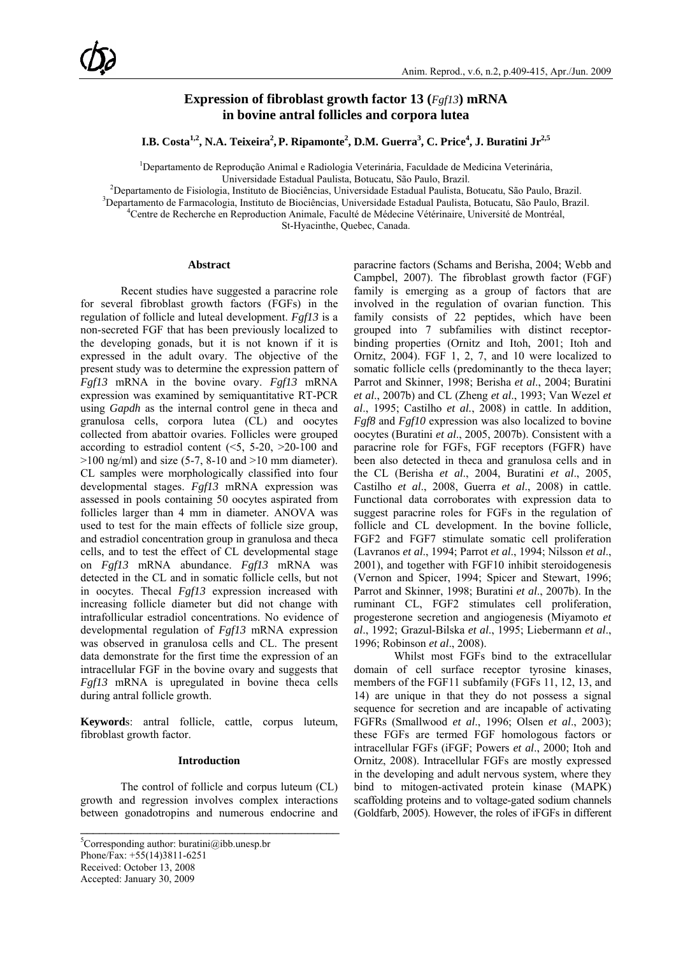## **Expression of fibroblast growth factor 13 (***Fgf13***) mRNA in bovine antral follicles and corpora lutea**

 ${\bf I.B.}$  Costa<sup>1,2</sup>, N.A. Teixeira<sup>2</sup>, P. Ripamonte<sup>2</sup>, D.M. Guerra<sup>3</sup>, C. Price<sup>4</sup>, J. Buratini Jr<sup>2,5</sup>

<sup>1</sup>Departamento de Reprodução Animal e Radiologia Veterinária, Faculdade de Medicina Veterinária,

Universidade Estadual Paulista, Botucatu, São Paulo, Brazil.<br><sup>2</sup> Departemento de Fisiologia, Instituto de Piociôneias, Universidade Estadual Paulista. P <sup>2</sup> Departamento de Fisiologia, Instituto de Biociências, Universidade Estadual Paulista, Botucatu, São Paulo, Brazil.<br><sup>3</sup> Departamento de Fermacologia, Instituto de Biociências, Universidade Estadual Paulista, Botucatu, S

<sup>3</sup>Departamento de Farmacologia, Instituto de Biociências, Universidade Estadual Paulista, Botucatu, São Paulo, Brazil.

Centre de Recherche en Reproduction Animale, Faculté de Médecine Vétérinaire, Université de Montréal,

St-Hyacinthe, Quebec, Canada.

#### **Abstract**

Recent studies have suggested a paracrine role for several fibroblast growth factors (FGFs) in the regulation of follicle and luteal development. *Fgf13* is a non-secreted FGF that has been previously localized to the developing gonads, but it is not known if it is expressed in the adult ovary. The objective of the present study was to determine the expression pattern of *Fgf13* mRNA in the bovine ovary. *Fgf13* mRNA expression was examined by semiquantitative RT-PCR using *Gapdh* as the internal control gene in theca and granulosa cells, corpora lutea (CL) and oocytes collected from abattoir ovaries. Follicles were grouped according to estradiol content  $(5, 5-20, 20-100)$  and  $>100$  ng/ml) and size (5-7, 8-10 and  $>10$  mm diameter). CL samples were morphologically classified into four developmental stages. *Fgf13* mRNA expression was assessed in pools containing 50 oocytes aspirated from follicles larger than 4 mm in diameter. ANOVA was used to test for the main effects of follicle size group, and estradiol concentration group in granulosa and theca cells, and to test the effect of CL developmental stage on *Fgf13* mRNA abundance. *Fgf13* mRNA was detected in the CL and in somatic follicle cells, but not in oocytes. Thecal *Fgf13* expression increased with increasing follicle diameter but did not change with intrafollicular estradiol concentrations. No evidence of developmental regulation of *Fgf13* mRNA expression was observed in granulosa cells and CL. The present data demonstrate for the first time the expression of an intracellular FGF in the bovine ovary and suggests that *Fgf13* mRNA is upregulated in bovine theca cells during antral follicle growth.

**Keyword**s: antral follicle, cattle, corpus luteum, fibroblast growth factor.

#### **Introduction**

The control of follicle and corpus luteum (CL) growth and regression involves complex interactions between gonadotropins and numerous endocrine and

\_\_\_\_\_\_\_\_\_\_\_\_\_\_\_\_\_\_\_\_\_\_\_\_\_\_\_\_\_\_\_\_\_\_\_\_\_\_\_\_\_

paracrine factors (Schams and Berisha, 2004; Webb and Campbel, 2007). The fibroblast growth factor (FGF) family is emerging as a group of factors that are involved in the regulation of ovarian function. This family consists of 22 peptides, which have been grouped into 7 subfamilies with distinct receptorbinding properties (Ornitz and Itoh, 2001; Itoh and Ornitz, 2004). FGF 1, 2, 7, and 10 were localized to somatic follicle cells (predominantly to the theca layer; Parrot and Skinner, 1998; Berisha *et al*., 2004; Buratini *et al*., 2007b) and CL (Zheng *et al*., 1993; Van Wezel *et al*., 1995; Castilho *et al.*, 2008) in cattle. In addition, *Fgf8* and *Fgf10* expression was also localized to bovine oocytes (Buratini *et al*., 2005, 2007b). Consistent with a paracrine role for FGFs, FGF receptors (FGFR) have been also detected in theca and granulosa cells and in the CL (Berisha *et al*., 2004, Buratini *et al*., 2005, Castilho *et al*., 2008, Guerra *et al*., 2008) in cattle. Functional data corroborates with expression data to suggest paracrine roles for FGFs in the regulation of follicle and CL development. In the bovine follicle, FGF2 and FGF7 stimulate somatic cell proliferation (Lavranos *et al*., 1994; Parrot *et al*., 1994; Nilsson *et al*., 2001), and together with FGF10 inhibit steroidogenesis (Vernon and Spicer, 1994; Spicer and Stewart, 1996; Parrot and Skinner, 1998; Buratini *et al*., 2007b). In the ruminant CL, FGF2 stimulates cell proliferation, progesterone secretion and angiogenesis (Miyamoto *et al*., 1992; Grazul-Bilska *et al*., 1995; Liebermann *et al*., 1996; Robinson *et al*., 2008).

Whilst most FGFs bind to the extracellular domain of cell surface receptor tyrosine kinases, members of the FGF11 subfamily (FGFs 11, 12, 13, and 14) are unique in that they do not possess a signal sequence for secretion and are incapable of activating FGFRs (Smallwood *et al*., 1996; Olsen *et al*., 2003); these FGFs are termed FGF homologous factors or intracellular FGFs (iFGF; Powers *et al*., 2000; Itoh and Ornitz, 2008). Intracellular FGFs are mostly expressed in the developing and adult nervous system, where they bind to mitogen-activated protein kinase (MAPK) scaffolding proteins and to voltage-gated sodium channels (Goldfarb, 2005). However, the roles of iFGFs in different

<sup>&</sup>lt;sup>5</sup>Corresponding author: buratini@ibb.unesp.br Phone/Fax: +55(14)3811-6251 Received: October 13, 2008 Accepted: January 30, 2009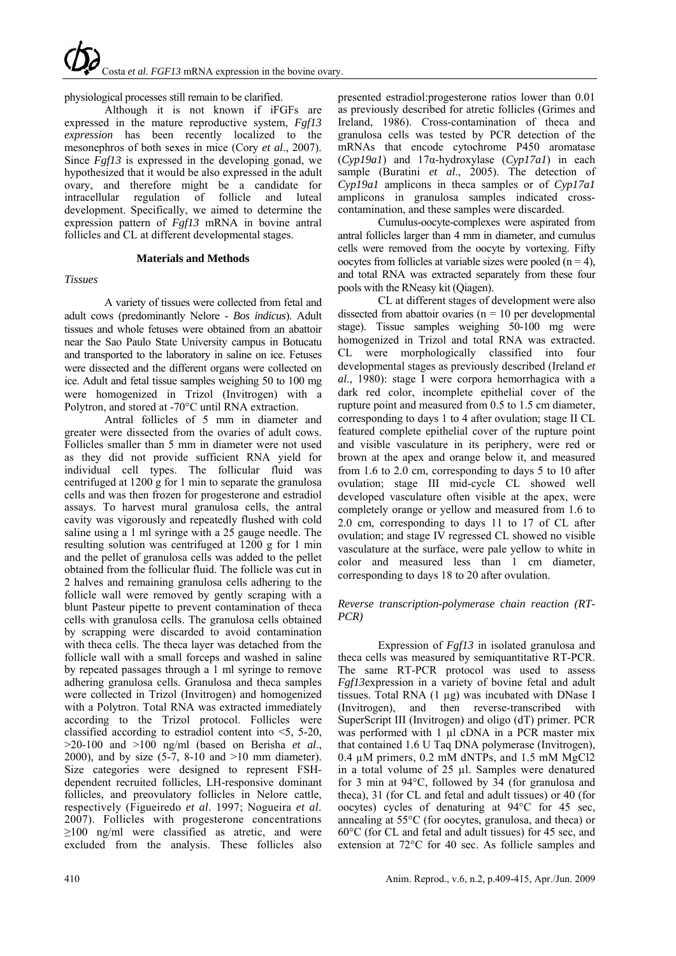# physiological processes still remain to be clarified.

Although it is not known if iFGFs are expressed in the mature reproductive system, *Fgf13 expression* has been recently localized to the mesonephros of both sexes in mice (Cory *et al*., 2007). Since  $\vec{F}gf13$  is expressed in the developing gonad, we hypothesized that it would be also expressed in the adult ovary, and therefore might be a candidate for intracellular regulation of follicle and luteal development. Specifically, we aimed to determine the expression pattern of *Fgf13* mRNA in bovine antral follicles and CL at different developmental stages.

## **Materials and Methods**

## *Tissues*

A variety of tissues were collected from fetal and adult cows (predominantly Nelore - *Bos indicus*). Adult tissues and whole fetuses were obtained from an abattoir near the Sao Paulo State University campus in Botucatu and transported to the laboratory in saline on ice. Fetuses were dissected and the different organs were collected on ice. Adult and fetal tissue samples weighing 50 to 100 mg were homogenized in Trizol (Invitrogen) with a Polytron, and stored at -70°C until RNA extraction.

Antral follicles of 5 mm in diameter and greater were dissected from the ovaries of adult cows. Follicles smaller than 5 mm in diameter were not used as they did not provide sufficient RNA yield for individual cell types. The follicular fluid was centrifuged at 1200 g for 1 min to separate the granulosa cells and was then frozen for progesterone and estradiol assays. To harvest mural granulosa cells, the antral cavity was vigorously and repeatedly flushed with cold saline using a 1 ml syringe with a 25 gauge needle. The resulting solution was centrifuged at 1200 g for 1 min and the pellet of granulosa cells was added to the pellet obtained from the follicular fluid. The follicle was cut in 2 halves and remaining granulosa cells adhering to the follicle wall were removed by gently scraping with a blunt Pasteur pipette to prevent contamination of theca cells with granulosa cells. The granulosa cells obtained by scrapping were discarded to avoid contamination with theca cells. The theca layer was detached from the follicle wall with a small forceps and washed in saline by repeated passages through a 1 ml syringe to remove adhering granulosa cells. Granulosa and theca samples were collected in Trizol (Invitrogen) and homogenized with a Polytron. Total RNA was extracted immediately according to the Trizol protocol. Follicles were classified according to estradiol content into <5, 5-20, >20-100 and >100 ng/ml (based on Berisha *et al*., 2000), and by size  $(5-7, 8-10, 10)$  mm diameter). Size categories were designed to represent FSHdependent recruited follicles, LH-responsive dominant follicles, and preovulatory follicles in Nelore cattle, respectively (Figueiredo *et al*. 1997; Nogueira *et al*. 2007). Follicles with progesterone concentrations  $\geq$ 100 ng/ml were classified as atretic, and were excluded from the analysis. These follicles also

presented estradiol:progesterone ratios lower than 0.01 as previously described for atretic follicles (Grimes and Ireland, 1986). Cross-contamination of theca and granulosa cells was tested by PCR detection of the mRNAs that encode cytochrome P450 aromatase (*Cyp19a1*) and 17α-hydroxylase (*Cyp17a1*) in each sample (Buratini *et al*., 2005). The detection of *Cyp19a1* amplicons in theca samples or of *Cyp17a1* amplicons in granulosa samples indicated crosscontamination, and these samples were discarded.

Cumulus-oocyte-complexes were aspirated from antral follicles larger than 4 mm in diameter, and cumulus cells were removed from the oocyte by vortexing. Fifty oocytes from follicles at variable sizes were pooled  $(n = 4)$ , and total RNA was extracted separately from these four pools with the RNeasy kit (Qiagen).

CL at different stages of development were also dissected from abattoir ovaries ( $n = 10$  per developmental stage). Tissue samples weighing 50-100 mg were homogenized in Trizol and total RNA was extracted. CL were morphologically classified into four developmental stages as previously described (Ireland *et al*., 1980): stage I were corpora hemorrhagica with a dark red color, incomplete epithelial cover of the rupture point and measured from 0.5 to 1.5 cm diameter, corresponding to days 1 to 4 after ovulation; stage II CL featured complete epithelial cover of the rupture point and visible vasculature in its periphery, were red or brown at the apex and orange below it, and measured from 1.6 to 2.0 cm, corresponding to days 5 to 10 after ovulation; stage III mid-cycle CL showed well developed vasculature often visible at the apex, were completely orange or yellow and measured from 1.6 to 2.0 cm, corresponding to days 11 to 17 of CL after ovulation; and stage IV regressed CL showed no visible vasculature at the surface, were pale yellow to white in color and measured less than 1 cm diameter, corresponding to days 18 to 20 after ovulation.

## *Reverse transcription-polymerase chain reaction (RT-PCR)*

Expression of *Fgf13* in isolated granulosa and theca cells was measured by semiquantitative RT-PCR. The same RT-PCR protocol was used to assess *Fgf13*expression in a variety of bovine fetal and adult tissues. Total RNA (1 µg) was incubated with DNase I (Invitrogen), and then reverse-transcribed with SuperScript III (Invitrogen) and oligo (dT) primer. PCR was performed with 1 µl cDNA in a PCR master mix that contained 1.6 U Taq DNA polymerase (Invitrogen), 0.4 µM primers, 0.2 mM dNTPs, and 1.5 mM MgCl2 in a total volume of 25 µl. Samples were denatured for 3 min at 94°C, followed by 34 (for granulosa and theca), 31 (for CL and fetal and adult tissues) or 40 (for oocytes) cycles of denaturing at 94°C for 45 sec, annealing at 55°C (for oocytes, granulosa, and theca) or 60°C (for CL and fetal and adult tissues) for 45 sec, and extension at 72°C for 40 sec. As follicle samples and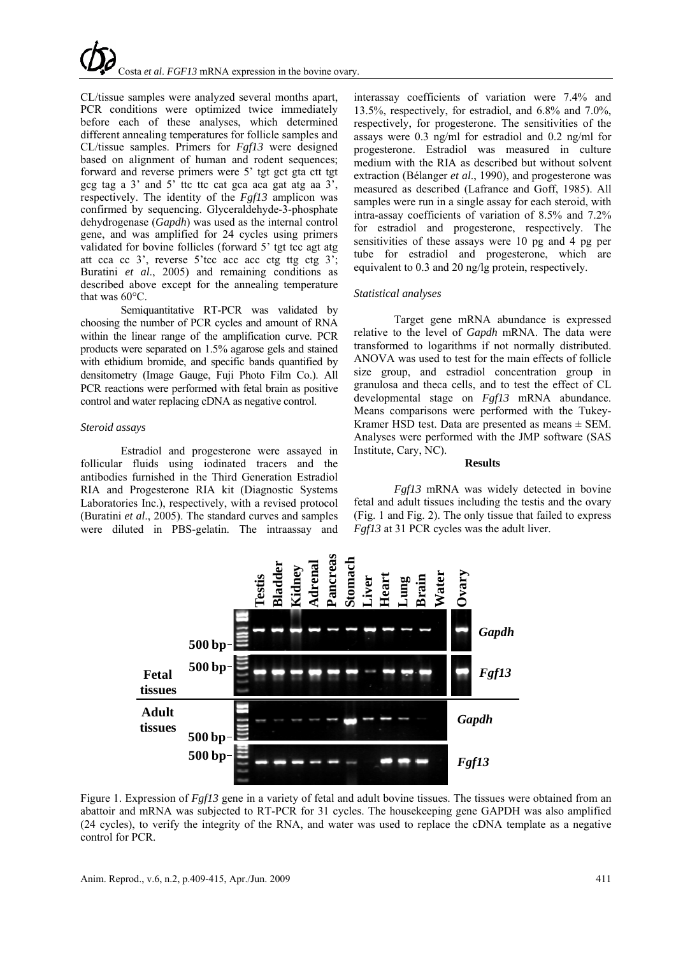CL/tissue samples were analyzed several months apart, PCR conditions were optimized twice immediately before each of these analyses, which determined different annealing temperatures for follicle samples and CL/tissue samples. Primers for *Fgf13* were designed based on alignment of human and rodent sequences; forward and reverse primers were 5' tgt gct gta ctt tgt gcg tag a  $3'$  and  $5'$  ttc ttc cat gca aca gat atg aa  $3'$ , respectively. The identity of the *Fgf13* amplicon was confirmed by sequencing. Glyceraldehyde-3-phosphate dehydrogenase (*Gapdh*) was used as the internal control gene, and was amplified for 24 cycles using primers validated for bovine follicles (forward 5' tgt tcc agt atg att cca cc 3', reverse 5'tcc acc acc ctg ttg ctg 3'; Buratini *et al*., 2005) and remaining conditions as described above except for the annealing temperature that was 60°C.

Semiquantitative RT-PCR was validated by choosing the number of PCR cycles and amount of RNA within the linear range of the amplification curve. PCR products were separated on 1.5% agarose gels and stained with ethidium bromide, and specific bands quantified by densitometry (Image Gauge, Fuji Photo Film Co.). All PCR reactions were performed with fetal brain as positive control and water replacing cDNA as negative control.

## *Steroid assays*

Estradiol and progesterone were assayed in follicular fluids using iodinated tracers and the antibodies furnished in the Third Generation Estradiol RIA and Progesterone RIA kit (Diagnostic Systems Laboratories Inc.), respectively, with a revised protocol (Buratini *et al*., 2005). The standard curves and samples were diluted in PBS-gelatin. The intraassay and interassay coefficients of variation were 7.4% and 13.5%, respectively, for estradiol, and 6.8% and 7.0%, respectively, for progesterone. The sensitivities of the assays were 0.3 ng/ml for estradiol and 0.2 ng/ml for progesterone. Estradiol was measured in culture medium with the RIA as described but without solvent extraction (Bélanger *et al*., 1990), and progesterone was measured as described (Lafrance and Goff, 1985). All samples were run in a single assay for each steroid, with intra-assay coefficients of variation of 8.5% and 7.2% for estradiol and progesterone, respectively. The sensitivities of these assays were 10 pg and 4 pg per tube for estradiol and progesterone, which are equivalent to 0.3 and 20 ng/lg protein, respectively.

## *Statistical analyses*

Target gene mRNA abundance is expressed relative to the level of *Gapdh* mRNA. The data were transformed to logarithms if not normally distributed. ANOVA was used to test for the main effects of follicle size group, and estradiol concentration group in granulosa and theca cells, and to test the effect of CL developmental stage on *Fgf13* mRNA abundance. Means comparisons were performed with the Tukey-Kramer HSD test. Data are presented as means  $\pm$  SEM. Analyses were performed with the JMP software (SAS Institute, Cary, NC).

#### **Results**

*Fgf13* mRNA was widely detected in bovine fetal and adult tissues including the testis and the ovary (Fig. 1 and Fig. 2). The only tissue that failed to express *Fgf13* at 31 PCR cycles was the adult liver.



Figure 1. Expression of *Fgf13* gene in a variety of fetal and adult bovine tissues. The tissues were obtained from an abattoir and mRNA was subjected to RT-PCR for 31 cycles. The housekeeping gene GAPDH was also amplified (24 cycles), to verify the integrity of the RNA, and water was used to replace the cDNA template as a negative control for PCR.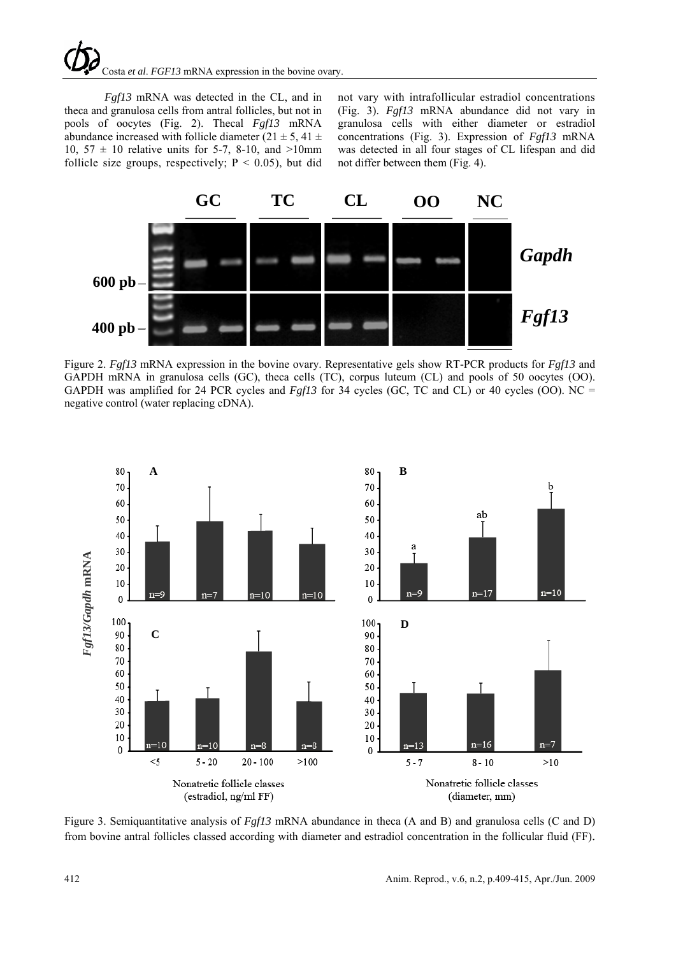# Costa *et al*. *FGF13* mRNA expression in the bovine ovary.

*Fgf13* mRNA was detected in the CL, and in theca and granulosa cells from antral follicles, but not in pools of oocytes (Fig. 2). Thecal *Fgf13* mRNA abundance increased with follicle diameter (21  $\pm$  5, 41  $\pm$ 10,  $57 \pm 10$  relative units for 5-7, 8-10, and  $>10$ mm follicle size groups, respectively;  $P < 0.05$ ), but did

not vary with intrafollicular estradiol concentrations (Fig. 3). *Fgf13* mRNA abundance did not vary in granulosa cells with either diameter or estradiol concentrations (Fig. 3). Expression of *Fgf13* mRNA was detected in all four stages of CL lifespan and did not differ between them (Fig. 4).



Figure 2. *Fgf13* mRNA expression in the bovine ovary. Representative gels show RT-PCR products for *Fgf13* and GAPDH mRNA in granulosa cells (GC), theca cells (TC), corpus luteum (CL) and pools of 50 oocytes (OO). GAPDH was amplified for 24 PCR cycles and *Fgf13* for 34 cycles (GC, TC and CL) or 40 cycles (OO). NC = negative control (water replacing cDNA).



Figure 3. Semiquantitative analysis of *Fgf13* mRNA abundance in theca (A and B) and granulosa cells (C and D) from bovine antral follicles classed according with diameter and estradiol concentration in the follicular fluid (FF).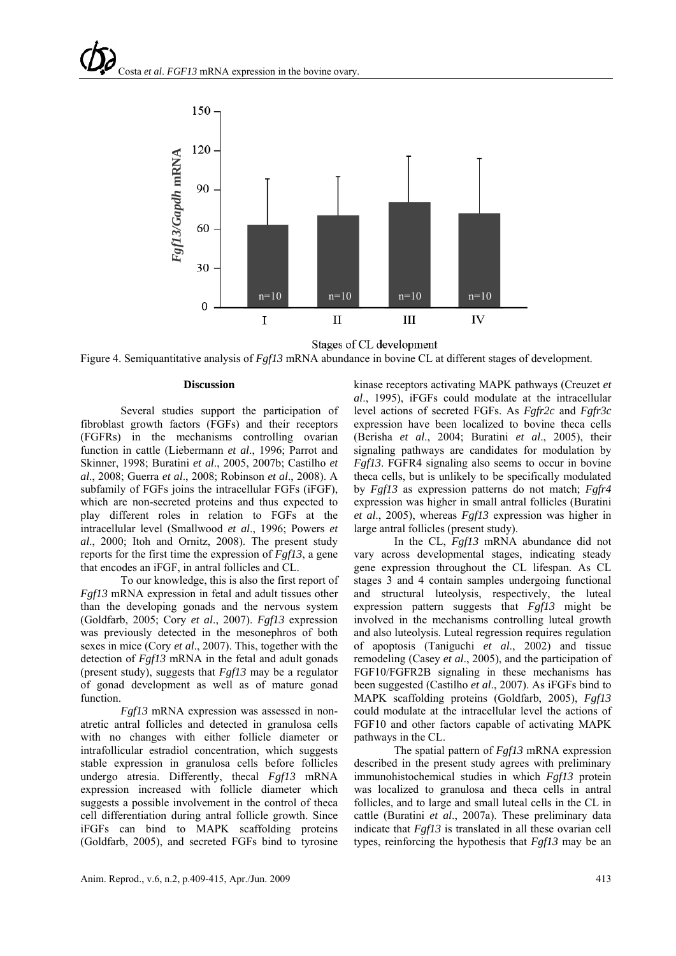

Stages of CL development

Figure 4. Semiquantitative analysis of *Fgf13* mRNA abundance in bovine CL at different stages of development.

#### **Discussion**

Several studies support the participation of fibroblast growth factors (FGFs) and their receptors (FGFRs) in the mechanisms controlling ovarian function in cattle (Liebermann *et al*., 1996; Parrot and Skinner, 1998; Buratini *et al*., 2005, 2007b; Castilho *et al*., 2008; Guerra *et al*., 2008; Robinson *et al*., 2008). A subfamily of FGFs joins the intracellular FGFs (iFGF), which are non-secreted proteins and thus expected to play different roles in relation to FGFs at the intracellular level (Smallwood *et al*., 1996; Powers *et al*., 2000; Itoh and Ornitz, 2008). The present study reports for the first time the expression of *Fgf13*, a gene that encodes an iFGF, in antral follicles and CL.

To our knowledge, this is also the first report of *Fgf13* mRNA expression in fetal and adult tissues other than the developing gonads and the nervous system (Goldfarb, 2005; Cory *et al*., 2007). *Fgf13* expression was previously detected in the mesonephros of both sexes in mice (Cory *et al*., 2007). This, together with the detection of *Fgf13* mRNA in the fetal and adult gonads (present study), suggests that *Fgf13* may be a regulator of gonad development as well as of mature gonad function.

*Fgf13* mRNA expression was assessed in nonatretic antral follicles and detected in granulosa cells with no changes with either follicle diameter or intrafollicular estradiol concentration, which suggests stable expression in granulosa cells before follicles undergo atresia. Differently, thecal *Fgf13* mRNA expression increased with follicle diameter which suggests a possible involvement in the control of theca cell differentiation during antral follicle growth. Since iFGFs can bind to MAPK scaffolding proteins (Goldfarb, 2005), and secreted FGFs bind to tyrosine

kinase receptors activating MAPK pathways (Creuzet *et al*., 1995), iFGFs could modulate at the intracellular level actions of secreted FGFs. As *Fgfr2c* and *Fgfr3c* expression have been localized to bovine theca cells (Berisha *et al*., 2004; Buratini *et al*., 2005), their signaling pathways are candidates for modulation by *Fgf13*. FGFR4 signaling also seems to occur in bovine theca cells, but is unlikely to be specifically modulated by *Fgf13* as expression patterns do not match; *Fgfr4* expression was higher in small antral follicles (Buratini *et al*., 2005), whereas *Fgf13* expression was higher in large antral follicles (present study).

In the CL, *Fgf13* mRNA abundance did not vary across developmental stages, indicating steady gene expression throughout the CL lifespan. As CL stages 3 and 4 contain samples undergoing functional and structural luteolysis, respectively, the luteal expression pattern suggests that *Fgf13* might be involved in the mechanisms controlling luteal growth and also luteolysis. Luteal regression requires regulation of apoptosis (Taniguchi *et al*., 2002) and tissue remodeling (Casey *et al*., 2005), and the participation of FGF10/FGFR2B signaling in these mechanisms has been suggested (Castilho *et al*., 2007). As iFGFs bind to MAPK scaffolding proteins (Goldfarb, 2005), *Fgf13* could modulate at the intracellular level the actions of FGF10 and other factors capable of activating MAPK pathways in the CL.

The spatial pattern of *Fgf13* mRNA expression described in the present study agrees with preliminary immunohistochemical studies in which *Fgf13* protein was localized to granulosa and theca cells in antral follicles, and to large and small luteal cells in the CL in cattle (Buratini *et al*., 2007a). These preliminary data indicate that *Fgf13* is translated in all these ovarian cell types, reinforcing the hypothesis that *Fgf13* may be an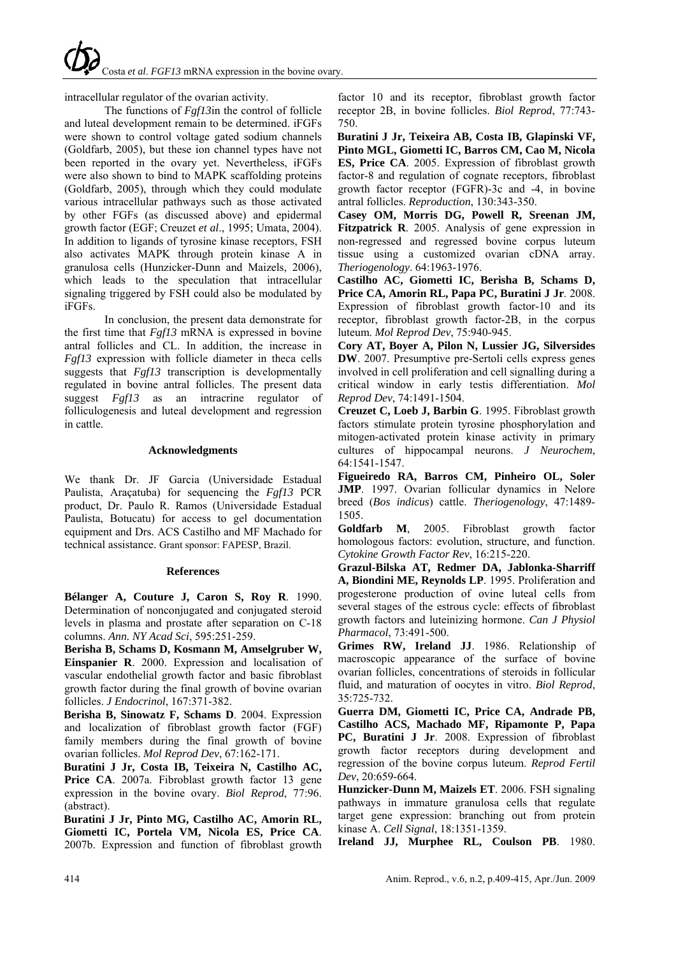intracellular regulator of the ovarian activity.

The functions of *Fgf13*in the control of follicle and luteal development remain to be determined. iFGFs were shown to control voltage gated sodium channels (Goldfarb, 2005), but these ion channel types have not been reported in the ovary yet. Nevertheless, iFGFs were also shown to bind to MAPK scaffolding proteins (Goldfarb, 2005), through which they could modulate various intracellular pathways such as those activated by other FGFs (as discussed above) and epidermal growth factor (EGF; Creuzet *et al*., 1995; Umata, 2004). In addition to ligands of tyrosine kinase receptors, FSH also activates MAPK through protein kinase A in granulosa cells (Hunzicker-Dunn and Maizels, 2006), which leads to the speculation that intracellular signaling triggered by FSH could also be modulated by iFGFs.

In conclusion, the present data demonstrate for the first time that *Fgf13* mRNA is expressed in bovine antral follicles and CL. In addition, the increase in *Fgf13* expression with follicle diameter in theca cells suggests that *Fgf13* transcription is developmentally regulated in bovine antral follicles. The present data suggest *Fgf13* as an intracrine regulator of folliculogenesis and luteal development and regression in cattle.

## **Acknowledgments**

We thank Dr. JF Garcia (Universidade Estadual Paulista, Araçatuba) for sequencing the *Fgf13* PCR product, Dr. Paulo R. Ramos (Universidade Estadual Paulista, Botucatu) for access to gel documentation equipment and Drs. ACS Castilho and MF Machado for technical assistance. Grant sponsor: FAPESP, Brazil.

#### **References**

**Bélanger A, Couture J, Caron S, Roy R**. 1990. Determination of nonconjugated and conjugated steroid levels in plasma and prostate after separation on C-18 columns. *Ann. NY Acad Sci*, 595:251-259.

**Berisha B, Schams D, Kosmann M, Amselgruber W, Einspanier R**. 2000. Expression and localisation of vascular endothelial growth factor and basic fibroblast growth factor during the final growth of bovine ovarian follicles. *J Endocrinol*, 167:371-382.

**Berisha B, Sinowatz F, Schams D**. 2004. Expression and localization of fibroblast growth factor (FGF) family members during the final growth of bovine ovarian follicles. *Mol Reprod Dev*, 67:162-171.

**Buratini J Jr, Costa IB, Teixeira N, Castilho AC, Price CA**. 2007a. Fibroblast growth factor 13 gene expression in the bovine ovary. *Biol Reprod*, 77:96. (abstract).

**Buratini J Jr, Pinto MG, Castilho AC, Amorin RL, Giometti IC, Portela VM, Nicola ES, Price CA**. 2007b. Expression and function of fibroblast growth factor 10 and its receptor, fibroblast growth factor receptor 2B, in bovine follicles. *Biol Reprod*, 77:743- 750.

**Buratini J Jr, Teixeira AB, Costa IB, Glapinski VF, Pinto MGL, Giometti IC, Barros CM, Cao M, Nicola ES, Price CA**. 2005. Expression of fibroblast growth factor-8 and regulation of cognate receptors, fibroblast growth factor receptor (FGFR)-3c and -4, in bovine antral follicles. *Reproduction*, 130:343-350.

**Casey OM, Morris DG, Powell R, Sreenan JM, Fitzpatrick R**. 2005. Analysis of gene expression in non-regressed and regressed bovine corpus luteum tissue using a customized ovarian cDNA array. *Theriogenology*. 64:1963-1976.

**Castilho AC, Giometti IC, Berisha B, Schams D, Price CA, Amorin RL, Papa PC, Buratini J Jr**. 2008. Expression of fibroblast growth factor-10 and its receptor, fibroblast growth factor-2B, in the corpus luteum. *Mol Reprod Dev*, 75:940-945.

**Cory AT, Boyer A, Pilon N, Lussier JG, Silversides DW**. 2007. Presumptive pre-Sertoli cells express genes involved in cell proliferation and cell signalling during a critical window in early testis differentiation. *Mol Reprod Dev*, 74:1491-1504.

**Creuzet C, Loeb J, Barbin G**. 1995. Fibroblast growth factors stimulate protein tyrosine phosphorylation and mitogen-activated protein kinase activity in primary cultures of hippocampal neurons. *J Neurochem*, 64:1541-1547.

**Figueiredo RA, Barros CM, Pinheiro OL, Soler JMP**. 1997. Ovarian follicular dynamics in Nelore breed (*Bos indicus*) cattle. *Theriogenology*, 47:1489- 1505.

**Goldfarb M**, 2005. Fibroblast growth factor homologous factors: evolution, structure, and function. *Cytokine Growth Factor Rev*, 16:215-220.

**Grazul-Bilska AT, Redmer DA, Jablonka-Sharriff A, Biondini ME, Reynolds LP**. 1995. Proliferation and progesterone production of ovine luteal cells from several stages of the estrous cycle: effects of fibroblast growth factors and luteinizing hormone. *Can J Physiol Pharmacol*, 73:491-500.

**Grimes RW, Ireland JJ**. 1986. Relationship of macroscopic appearance of the surface of bovine ovarian follicles, concentrations of steroids in follicular fluid, and maturation of oocytes in vitro. *Biol Reprod*, 35:725-732.

**Guerra DM, Giometti IC, Price CA, Andrade PB, Castilho ACS, Machado MF, Ripamonte P, Papa PC, Buratini J Jr**. 2008. Expression of fibroblast growth factor receptors during development and regression of the bovine corpus luteum. *Reprod Fertil Dev*, 20:659-664.

**Hunzicker-Dunn M, Maizels ET**. 2006. FSH signaling pathways in immature granulosa cells that regulate target gene expression: branching out from protein kinase A. *Cell Signal*, 18:1351-1359.

**Ireland JJ, Murphee RL, Coulson PB**. 1980.